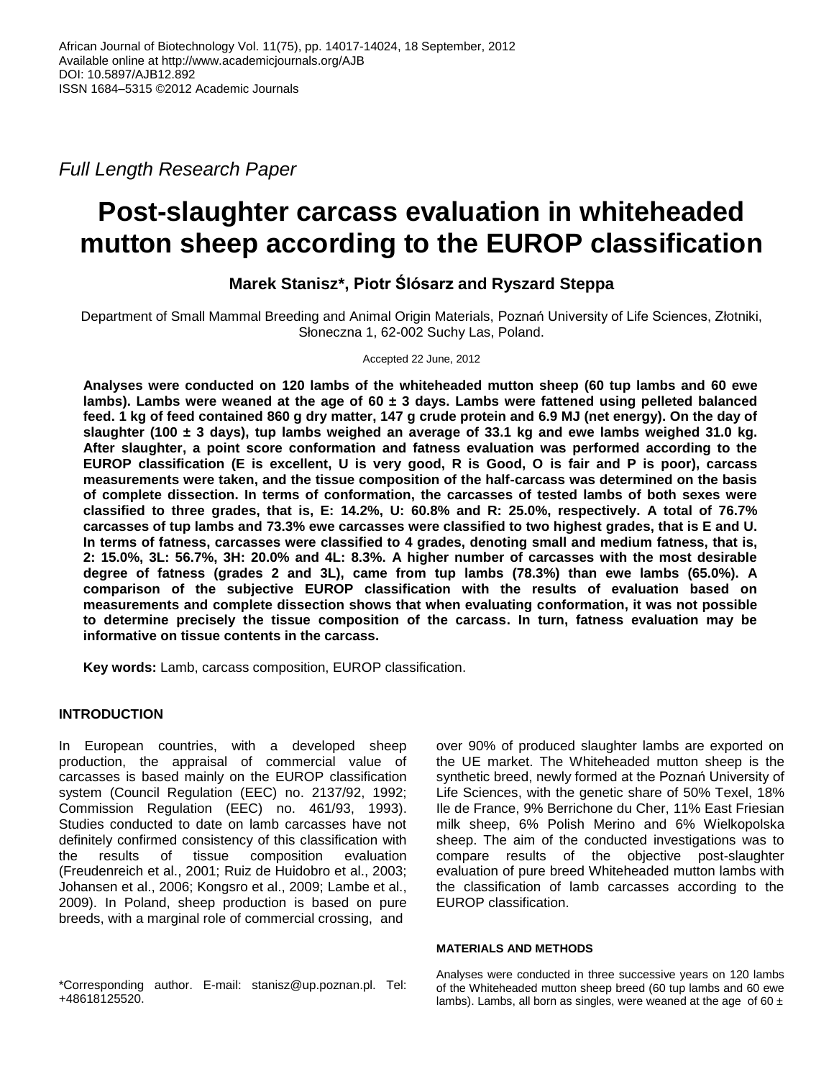*Full Length Research Paper*

# **Post-slaughter carcass evaluation in whiteheaded mutton sheep according to the EUROP classification**

# **Marek Stanisz\*, Piotr Ślósarz and Ryszard Steppa**

Department of Small Mammal Breeding and Animal Origin Materials, Poznań University of Life Sciences, Złotniki, Słoneczna 1, 62-002 Suchy Las, Poland.

Accepted 22 June, 2012

**Analyses were conducted on 120 lambs of the whiteheaded mutton sheep (60 tup lambs and 60 ewe lambs). Lambs were weaned at the age of 60 ± 3 days. Lambs were fattened using pelleted balanced feed. 1 kg of feed contained 860 g dry matter, 147 g crude protein and 6.9 MJ (net energy). On the day of slaughter (100 ± 3 days), tup lambs weighed an average of 33.1 kg and ewe lambs weighed 31.0 kg. After slaughter, a point score conformation and fatness evaluation was performed according to the EUROP classification (E is excellent, U is very good, R is Good, O is fair and P is poor), carcass measurements were taken, and the tissue composition of the half-carcass was determined on the basis of complete dissection. In terms of conformation, the carcasses of tested lambs of both sexes were classified to three grades, that is, E: 14.2%, U: 60.8% and R: 25.0%, respectively. A total of 76.7% carcasses of tup lambs and 73.3% ewe carcasses were classified to two highest grades, that is E and U. In terms of fatness, carcasses were classified to 4 grades, denoting small and medium fatness, that is, 2: 15.0%, 3L: 56.7%, 3H: 20.0% and 4L: 8.3%. A higher number of carcasses with the most desirable degree of fatness (grades 2 and 3L), came from tup lambs (78.3%) than ewe lambs (65.0%). A comparison of the subjective EUROP classification with the results of evaluation based on measurements and complete dissection shows that when evaluating conformation, it was not possible to determine precisely the tissue composition of the carcass. In turn, fatness evaluation may be informative on tissue contents in the carcass.**

**Key words:** Lamb, carcass composition, EUROP classification.

## **INTRODUCTION**

In European countries, with a developed sheep production, the appraisal of commercial value of carcasses is based mainly on the EUROP classification system (Council Regulation (EEC) no. 2137/92, 1992; Commission Regulation (EEC) no. 461/93, 1993). Studies conducted to date on lamb carcasses have not definitely confirmed consistency of this classification with the results of tissue composition evaluation (Freudenreich et al., 2001; Ruiz de Huidobro et al., 2003; Johansen et al., 2006; Kongsro et al., 2009; Lambe et al., 2009). In Poland, sheep production is based on pure breeds, with a marginal role of commercial crossing, and

over 90% of produced slaughter lambs are exported on the UE market. The Whiteheaded mutton sheep is the synthetic breed, newly formed at the Poznań University of Life Sciences, with the genetic share of 50% Texel, 18% Ile de France, 9% Berrichone du Cher, 11% East Friesian milk sheep, 6% Polish Merino and 6% Wielkopolska sheep. The aim of the conducted investigations was to compare results of the objective post-slaughter evaluation of pure breed Whiteheaded mutton lambs with the classification of lamb carcasses according to the EUROP classification.

### **MATERIALS AND METHODS**

Analyses were conducted in three successive years on 120 lambs of the Whiteheaded mutton sheep breed (60 tup lambs and 60 ewe lambs). Lambs, all born as singles, were weaned at the age of  $60 \pm$ 

\*Corresponding author. E-mail: stanisz@up.poznan.pl. Tel: +48618125520.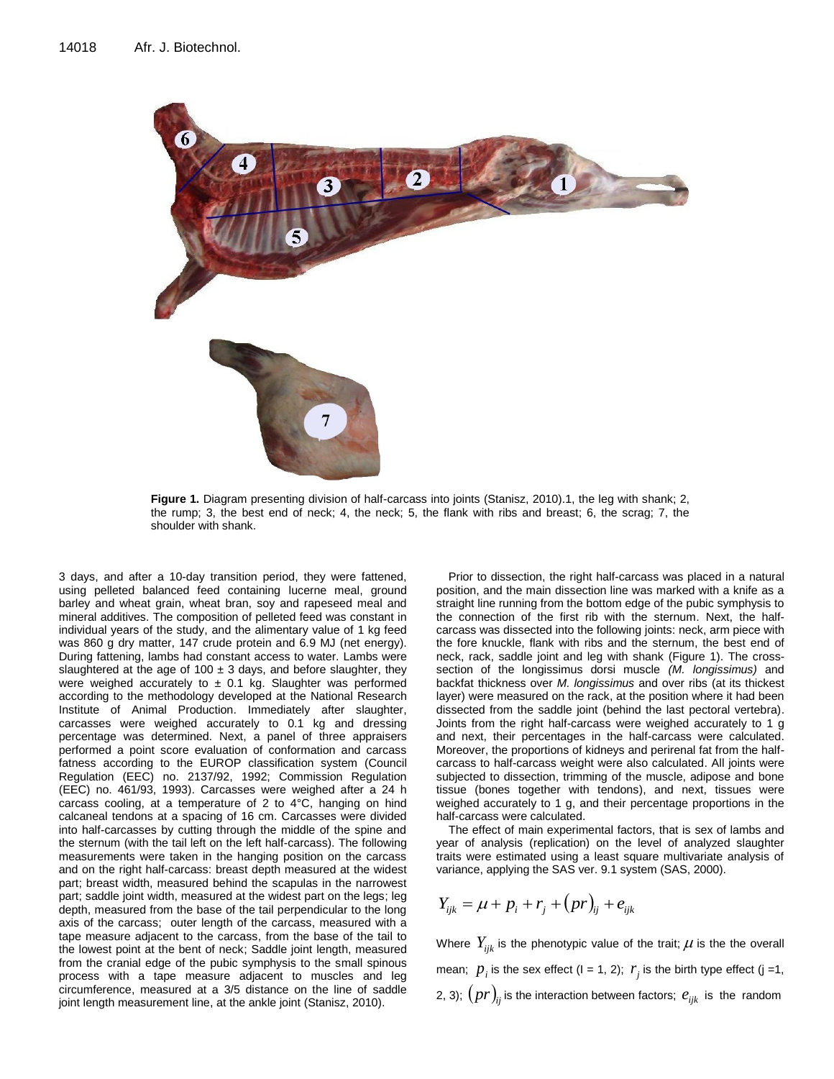

**Figure 1.** Diagram presenting division of half-carcass into joints (Stanisz, 2010).1, the leg with shank; 2, the rump; 3, the best end of neck; 4, the neck; 5, the flank with ribs and breast; 6, the scrag; 7, the shoulder with shank.

3 days, and after a 10-day transition period, they were fattened, using pelleted balanced feed containing lucerne meal, ground barley and wheat grain, wheat bran, soy and rapeseed meal and mineral additives. The composition of pelleted feed was constant in individual years of the study, and the alimentary value of 1 kg feed was 860 g dry matter, 147 crude protein and 6.9 MJ (net energy). During fattening, lambs had constant access to water. Lambs were slaughtered at the age of 100  $\pm$  3 days, and before slaughter, they were weighed accurately to  $\pm$  0.1 kg. Slaughter was performed according to the methodology developed at the National Research Institute of Animal Production. Immediately after slaughter, carcasses were weighed accurately to 0.1 kg and dressing percentage was determined. Next, a panel of three appraisers performed a point score evaluation of conformation and carcass fatness according to the EUROP classification system (Council Regulation (EEC) no. 2137/92, 1992; Commission Regulation (EEC) no. 461/93, 1993). Carcasses were weighed after a 24 h carcass cooling, at a temperature of 2 to 4°C, hanging on hind calcaneal tendons at a spacing of 16 cm. Carcasses were divided into half-carcasses by cutting through the middle of the spine and the sternum (with the tail left on the left half-carcass). The following measurements were taken in the hanging position on the carcass and on the right half-carcass: breast depth measured at the widest part; breast width, measured behind the scapulas in the narrowest part; saddle joint width, measured at the widest part on the legs; leg depth, measured from the base of the tail perpendicular to the long axis of the carcass; outer length of the carcass, measured with a tape measure adjacent to the carcass, from the base of the tail to the lowest point at the bent of neck; Saddle joint length, measured from the cranial edge of the pubic symphysis to the small spinous process with a tape measure adjacent to muscles and leg circumference, measured at a 3/5 distance on the line of saddle joint length measurement line, at the ankle joint (Stanisz, 2010).

Prior to dissection, the right half-carcass was placed in a natural position, and the main dissection line was marked with a knife as a straight line running from the bottom edge of the pubic symphysis to the connection of the first rib with the sternum. Next, the halfcarcass was dissected into the following joints: neck, arm piece with the fore knuckle, flank with ribs and the sternum, the best end of neck, rack, saddle joint and leg with shank (Figure 1). The crosssection of the longissimus dorsi muscle *(M. longissimus)* and backfat thickness over *M. longissimus* and over ribs (at its thickest layer) were measured on the rack, at the position where it had been dissected from the saddle joint (behind the last pectoral vertebra). Joints from the right half-carcass were weighed accurately to 1 g and next, their percentages in the half-carcass were calculated. Moreover, the proportions of kidneys and perirenal fat from the halfcarcass to half-carcass weight were also calculated. All joints were subjected to dissection, trimming of the muscle, adipose and bone tissue (bones together with tendons), and next, tissues were weighed accurately to 1 g, and their percentage proportions in the half-carcass were calculated.

The effect of main experimental factors, that is sex of lambs and year of analysis (replication) on the level of analyzed slaughter traits were estimated using a least square multivariate analysis of variance, applying the SAS ver. 9.1 system (SAS, 2000).

$$
Y_{ijk} = \mu + p_i + r_j + (pr)_{ij} + e_{ijk}
$$

Where  $Y_{ijk}$  is the phenotypic value of the trait;  $\mu$  is the the overall mean;  $p_i$  is the sex effect ( $i = 1, 2$ );  $r_j$  is the birth type effect ( $j = 1$ , 2, 3);  $\left( pr\right) _{ij}$  is the interaction between factors;  $e_{ijk}$  is the random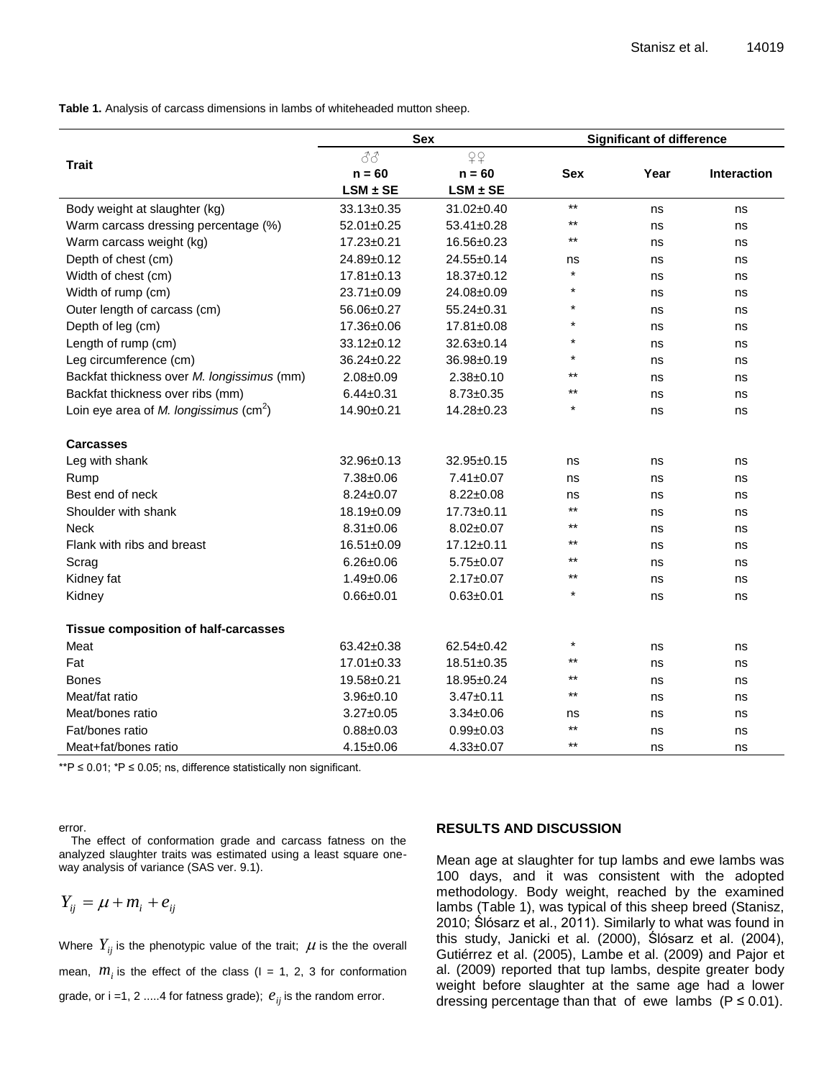**Table 1.** Analysis of carcass dimensions in lambs of whiteheaded mutton sheep.

|                                             | <b>Sex</b>       |                  | <b>Significant of difference</b> |      |                    |  |
|---------------------------------------------|------------------|------------------|----------------------------------|------|--------------------|--|
|                                             | 88               | QQ               |                                  |      |                    |  |
| <b>Trait</b>                                | $n = 60$         | $n = 60$         | <b>Sex</b>                       | Year | <b>Interaction</b> |  |
|                                             | $LSM \pm SE$     | $LSM \pm SE$     |                                  |      |                    |  |
| Body weight at slaughter (kg)               | 33.13±0.35       | 31.02±0.40       | $\star\star$                     | ns   | ns                 |  |
| Warm carcass dressing percentage (%)        | $52.01 \pm 0.25$ | $53.41 \pm 0.28$ | $***$                            | ns   | ns                 |  |
| Warm carcass weight (kg)                    | 17.23±0.21       | 16.56±0.23       | $***$                            | ns   | ns                 |  |
| Depth of chest (cm)                         | 24.89±0.12       | 24.55±0.14       | ns                               | ns   | ns                 |  |
| Width of chest (cm)                         | $17.81 \pm 0.13$ | 18.37±0.12       | $\star$                          | ns   | ns                 |  |
| Width of rump (cm)                          | 23.71±0.09       | 24.08±0.09       | $\star$                          | ns   | ns                 |  |
| Outer length of carcass (cm)                | 56.06±0.27       | $55.24 \pm 0.31$ |                                  | ns   | ns                 |  |
| Depth of leg (cm)                           | 17.36±0.06       | 17.81±0.08       |                                  | ns   | ns                 |  |
| Length of rump (cm)                         | 33.12±0.12       | 32.63±0.14       |                                  | ns   | ns                 |  |
| Leg circumference (cm)                      | 36.24±0.22       | 36.98±0.19       | $\star$                          | ns   | ns                 |  |
| Backfat thickness over M. longissimus (mm)  | $2.08 \pm 0.09$  | $2.38 + 0.10$    | $***$                            | ns   | ns                 |  |
| Backfat thickness over ribs (mm)            | $6.44 \pm 0.31$  | $8.73 \pm 0.35$  | $***$                            | ns   | ns                 |  |
| Loin eye area of M. longissimus $(cm2)$     | 14.90±0.21       | 14.28±0.23       |                                  | ns   | ns                 |  |
| <b>Carcasses</b>                            |                  |                  |                                  |      |                    |  |
| Leg with shank                              | 32.96±0.13       | $32.95 \pm 0.15$ | ns                               | ns   | ns                 |  |
| Rump                                        | 7.38±0.06        | $7.41 \pm 0.07$  | ns                               | ns   | ns                 |  |
| Best end of neck                            | $8.24 \pm 0.07$  | $8.22 \pm 0.08$  | ns                               | ns   | ns                 |  |
| Shoulder with shank                         | 18.19±0.09       | $17.73 \pm 0.11$ | $***$                            | ns   | ns                 |  |
| <b>Neck</b>                                 | $8.31 \pm 0.06$  | $8.02 \pm 0.07$  | $***$                            | ns   | ns                 |  |
| Flank with ribs and breast                  | 16.51±0.09       | $17.12 \pm 0.11$ | $***$                            | ns   | ns                 |  |
| Scrag                                       | $6.26 \pm 0.06$  | $5.75 \pm 0.07$  | $***$                            | ns   | ns                 |  |
| Kidney fat                                  | $1.49 \pm 0.06$  | $2.17 \pm 0.07$  | $***$                            | ns   | ns                 |  |
| Kidney                                      | $0.66 + 0.01$    | $0.63 + 0.01$    |                                  | ns   | ns                 |  |
| <b>Tissue composition of half-carcasses</b> |                  |                  |                                  |      |                    |  |
| Meat                                        | 63.42±0.38       | 62.54±0.42       | $\star$                          | ns   | ns                 |  |
| Fat                                         | $17.01 \pm 0.33$ | 18.51±0.35       | $***$                            | ns   | ns                 |  |
| <b>Bones</b>                                | 19.58±0.21       | 18.95±0.24       | $**$                             | ns   | ns                 |  |
| Meat/fat ratio                              | $3.96 \pm 0.10$  | $3.47 \pm 0.11$  | $***$                            | ns   | ns                 |  |
| Meat/bones ratio                            | $3.27 \pm 0.05$  | $3.34 \pm 0.06$  | ns                               | ns   | ns                 |  |
| Fat/bones ratio                             | $0.88 + 0.03$    | $0.99 + 0.03$    | $***$                            | ns   | ns                 |  |
| Meat+fat/bones ratio                        | $4.15 \pm 0.06$  | $4.33 \pm 0.07$  | $**$                             | ns   | ns                 |  |

\*\*P ≤ 0.01; \*P ≤ 0.05; ns, difference statistically non significant.

error.

The effect of conformation grade and carcass fatness on the analyzed slaughter traits was estimated using a least square oneway analysis of variance (SAS ver. 9.1).

$$
Y_{ij} = \mu + m_i + e_{ij}
$$

Where  $\left. Y_{ij}\right.$  is the phenotypic value of the trait;  $\left. \mu\right.$  is the the overall mean,  $m_i$  is the effect of the class ( $I = 1, 2, 3$  for conformation grade, or i =1, 2 .....4 for fatness grade);  $e_{ij}$  is the random error.

### **RESULTS AND DISCUSSION**

Mean age at slaughter for tup lambs and ewe lambs was 100 days, and it was consistent with the adopted methodology. Body weight, reached by the examined lambs (Table 1), was typical of this sheep breed (Stanisz, 2010; Ślósarz et al., 2011). Similarly to what was found in this study, Janicki et al. (2000), Ślósarz et al. (2004), Gutiérrez et al. (2005), Lambe et al. (2009) and Pajor et al. (2009) reported that tup lambs, despite greater body weight before slaughter at the same age had a lower dressing percentage than that of ewe lambs ( $P \le 0.01$ ).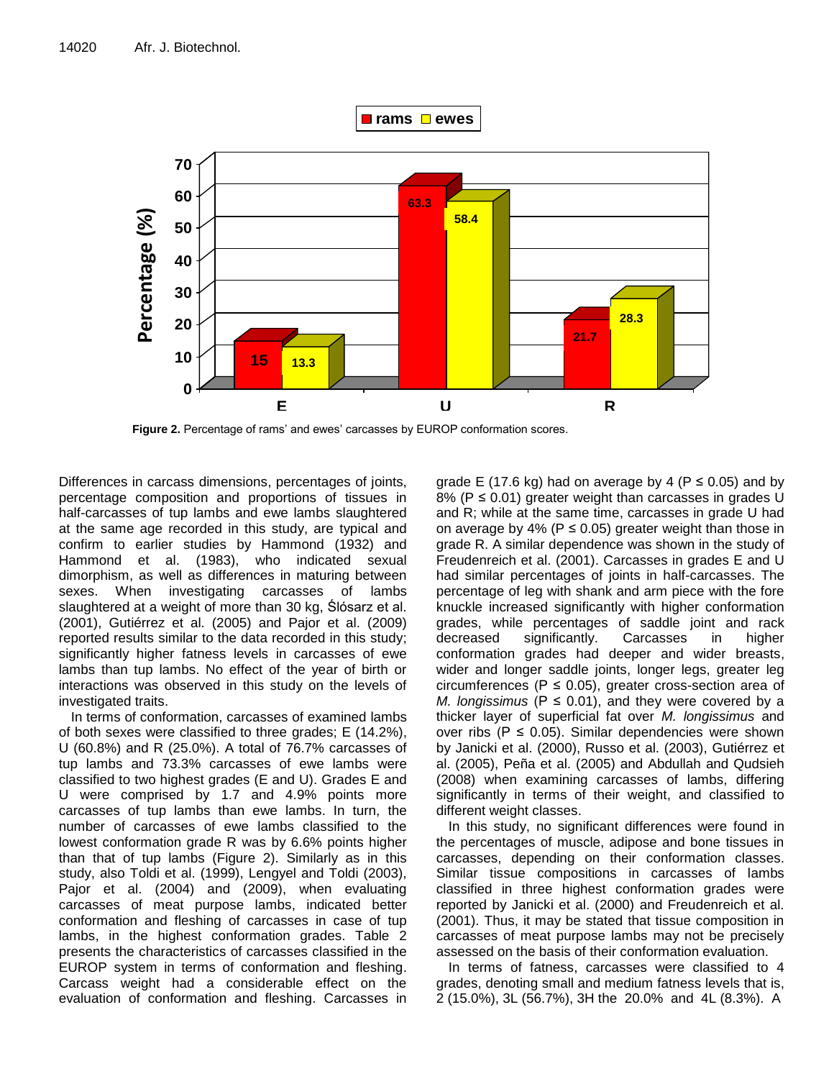

**Figure 2.** Percentage of rams' and ewes' carcasses by EUROP conformation scores.

Differences in carcass dimensions, percentages of joints, percentage composition and proportions of tissues in half-carcasses of tup lambs and ewe lambs slaughtered at the same age recorded in this study, are typical and confirm to earlier studies by Hammond (1932) and Hammond et al. (1983), who indicated sexual dimorphism, as well as differences in maturing between sexes. When investigating carcasses of lambs slaughtered at a weight of more than 30 kg, Ślósarz et al. (2001), Gutiérrez et al. (2005) and Pajor et al. (2009) reported results similar to the data recorded in this study; significantly higher fatness levels in carcasses of ewe lambs than tup lambs. No effect of the year of birth or interactions was observed in this study on the levels of investigated traits.

In terms of conformation, carcasses of examined lambs of both sexes were classified to three grades; E (14.2%), U (60.8%) and R (25.0%). A total of 76.7% carcasses of tup lambs and 73.3% carcasses of ewe lambs were classified to two highest grades (E and U). Grades E and U were comprised by 1.7 and 4.9% points more carcasses of tup lambs than ewe lambs. In turn, the number of carcasses of ewe lambs classified to the lowest conformation grade R was by 6.6% points higher than that of tup lambs (Figure 2). Similarly as in this study, also Toldi et al. (1999), Lengyel and Toldi (2003), Pajor et al. (2004) and (2009), when evaluating carcasses of meat purpose lambs, indicated better conformation and fleshing of carcasses in case of tup lambs, in the highest conformation grades. Table 2 presents the characteristics of carcasses classified in the EUROP system in terms of conformation and fleshing. Carcass weight had a considerable effect on the evaluation of conformation and fleshing. Carcasses in

grade E (17.6 kg) had on average by 4 ( $P \le 0.05$ ) and by 8% ( $P \le 0.01$ ) greater weight than carcasses in grades U and R; while at the same time, carcasses in grade U had on average by 4% ( $P \le 0.05$ ) greater weight than those in grade R. A similar dependence was shown in the study of Freudenreich et al. (2001). Carcasses in grades E and U had similar percentages of joints in half-carcasses. The percentage of leg with shank and arm piece with the fore knuckle increased significantly with higher conformation grades, while percentages of saddle joint and rack decreased significantly. Carcasses in higher conformation grades had deeper and wider breasts, wider and longer saddle joints, longer legs, greater leg circumferences ( $P \le 0.05$ ), greater cross-section area of *M. longissimus* ( $P \le 0.01$ ), and they were covered by a thicker layer of superficial fat over *M. longissimus* and over ribs ( $P \le 0.05$ ). Similar dependencies were shown by Janicki et al. (2000), Russo et al. (2003), Gutiérrez et al. (2005), Peña et al. (2005) and Abdullah and Qudsieh (2008) when examining carcasses of lambs, differing significantly in terms of their weight, and classified to different weight classes.

In this study, no significant differences were found in the percentages of muscle, adipose and bone tissues in carcasses, depending on their conformation classes. Similar tissue compositions in carcasses of lambs classified in three highest conformation grades were reported by Janicki et al. (2000) and Freudenreich et al. (2001). Thus, it may be stated that tissue composition in carcasses of meat purpose lambs may not be precisely assessed on the basis of their conformation evaluation.

In terms of fatness, carcasses were classified to 4 grades, denoting small and medium fatness levels that is, 2 (15.0%), 3L (56.7%), 3H the 20.0% and 4L (8.3%). A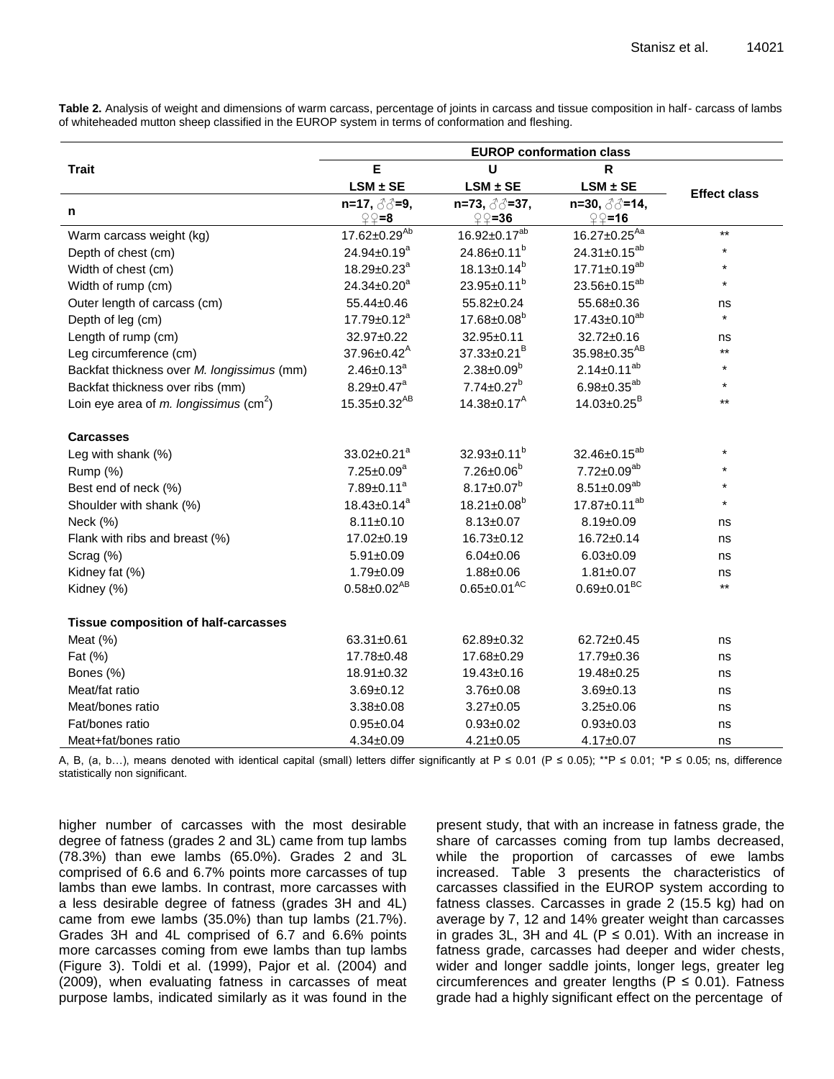**Table 2.** Analysis of weight and dimensions of warm carcass, percentage of joints in carcass and tissue composition in half- carcass of lambs of whiteheaded mutton sheep classified in the EUROP system in terms of conformation and fleshing.

|                                                    | <b>EUROP conformation class</b> |                         |                                |                     |
|----------------------------------------------------|---------------------------------|-------------------------|--------------------------------|---------------------|
| <b>Trait</b>                                       | E                               | $\mathsf{R}$<br>U       |                                |                     |
|                                                    | $LSM \pm SE$                    | $LSM \pm SE$            | $LSM \pm SE$                   | <b>Effect class</b> |
| n                                                  | $\mathcal{Q} = 8$               | ହ⊊=36                   | $\mathcal{Q} = 16$             |                     |
| Warm carcass weight (kg)                           | $17.62 \pm 0.29^{Ab}$           | $16.92 \pm 0.17^{ab}$   | $16.27 \pm 0.25$ <sup>Aa</sup> | $***$               |
| Depth of chest (cm)                                | $24.94 \pm 0.19^a$              | 24.86±0.11 <sup>b</sup> | 24.31±0.15 <sup>ab</sup>       | $\star$             |
| Width of chest (cm)                                | $18.29 \pm 0.23$ <sup>a</sup>   | $18.13 \pm 0.14^b$      | $17.71 \pm 0.19^{ab}$          | $\star$             |
| Width of rump (cm)                                 | 24.34±0.20 <sup>a</sup>         | $23.95 \pm 0.11^b$      | 23.56±0.15 <sup>ab</sup>       | $\star$             |
| Outer length of carcass (cm)                       | 55.44±0.46                      | 55.82±0.24              | 55.68±0.36                     | ns                  |
| Depth of leg (cm)                                  | $17.79 \pm 0.12^a$              | $17.68 \pm 0.08^b$      | $17.43 \pm 0.10^{ab}$          | $\star$             |
| Length of rump (cm)                                | 32.97±0.22                      | 32.95±0.11              | 32.72±0.16                     | ns                  |
| Leg circumference (cm)                             | $37.96 \pm 0.42^{\text{A}}$     | $37.33 \pm 0.21^B$      | 35.98±0.35 <sup>AB</sup>       | $***$               |
| Backfat thickness over M. longissimus (mm)         | $2.46 \pm 0.13^a$               | $2.38 \pm 0.09^b$       | $2.14 \pm 0.11^{ab}$           | $\star$             |
| Backfat thickness over ribs (mm)                   | $8.29 \pm 0.47$ <sup>a</sup>    | $7.74 \pm 0.27^b$       | $6.98 \pm 0.35^{ab}$           | $\star$             |
| Loin eye area of m. longissimus (cm <sup>2</sup> ) | 15.35±0.32 <sup>AB</sup>        | $14.38 \pm 0.17^A$      | $14.03 \pm 0.25^B$             | $***$               |
| <b>Carcasses</b>                                   |                                 |                         |                                |                     |
| Leg with shank (%)                                 | 33.02±0.21 <sup>a</sup>         | $32.93 \pm 0.11^b$      | 32.46±0.15 <sup>ab</sup>       | $\star$             |
| Rump (%)                                           | $7.25 \pm 0.09^a$               | $7.26 \pm 0.06^b$       | $7.72 \pm 0.09^{ab}$           |                     |
| Best end of neck (%)                               | $7.89 \pm 0.11$ <sup>a</sup>    | $8.17 \pm 0.07^b$       | $8.51 \pm 0.09^{ab}$           | $\star$             |
| Shoulder with shank (%)                            | $18.43 \pm 0.14^a$              | $18.21 \pm 0.08^b$      | 17.87±0.11 <sup>ab</sup>       | $\star$             |
| Neck (%)                                           | $8.11 \pm 0.10$                 | $8.13 \pm 0.07$         | $8.19 \pm 0.09$                | ns                  |
| Flank with ribs and breast (%)                     | 17.02±0.19                      | $16.73 \pm 0.12$        | 16.72±0.14                     | ns                  |
| Scrag (%)                                          | $5.91 \pm 0.09$                 | $6.04 \pm 0.06$         | $6.03 \pm 0.09$                | ns                  |
| Kidney fat (%)                                     | $1.79 \pm 0.09$                 | 1.88±0.06               | $1.81 \pm 0.07$                | ns                  |
| Kidney (%)                                         | $0.58 \pm 0.02^{AB}$            | $0.65 \pm 0.01^{AC}$    | $0.69 \pm 0.01^{BC}$           | $***$               |
| <b>Tissue composition of half-carcasses</b>        |                                 |                         |                                |                     |
| Meat $(%)$                                         | $63.31 \pm 0.61$                | 62.89±0.32              | 62.72±0.45                     | ns                  |
| Fat (%)                                            | 17.78±0.48                      | 17.68±0.29              | 17.79±0.36                     | ns                  |
| Bones (%)                                          | 18.91±0.32                      | $19.43 \pm 0.16$        | 19.48±0.25                     | ns                  |
| Meat/fat ratio                                     | $3.69 \pm 0.12$                 | $3.76 \pm 0.08$         | $3.69 \pm 0.13$                | ns                  |
| Meat/bones ratio                                   | $3.38 \pm 0.08$                 | $3.27 \pm 0.05$         | $3.25 \pm 0.06$                | ns                  |
| Fat/bones ratio                                    | $0.95 \pm 0.04$                 | $0.93 + 0.02$           | $0.93 + 0.03$                  | ns                  |
| Meat+fat/bones ratio                               | $4.34 \pm 0.09$                 | $4.21 \pm 0.05$         | $4.17 \pm 0.07$                | ns                  |

A, B, (a, b...), means denoted with identical capital (small) letters differ significantly at P ≤ 0.01 (P ≤ 0.05); \*\*P ≤ 0.01; \*P ≤ 0.05; ns, difference statistically non significant.

higher number of carcasses with the most desirable degree of fatness (grades 2 and 3L) came from tup lambs (78.3%) than ewe lambs (65.0%). Grades 2 and 3L comprised of 6.6 and 6.7% points more carcasses of tup lambs than ewe lambs. In contrast, more carcasses with a less desirable degree of fatness (grades 3H and 4L) came from ewe lambs (35.0%) than tup lambs (21.7%). Grades 3H and 4L comprised of 6.7 and 6.6% points more carcasses coming from ewe lambs than tup lambs (Figure 3). Toldi et al. (1999), Pajor et al. (2004) and (2009), when evaluating fatness in carcasses of meat purpose lambs, indicated similarly as it was found in the

present study, that with an increase in fatness grade, the share of carcasses coming from tup lambs decreased, while the proportion of carcasses of ewe lambs increased. Table 3 presents the characteristics of carcasses classified in the EUROP system according to fatness classes. Carcasses in grade 2 (15.5 kg) had on average by 7, 12 and 14% greater weight than carcasses in grades 3L, 3H and 4L ( $P \le 0.01$ ). With an increase in fatness grade, carcasses had deeper and wider chests, wider and longer saddle joints, longer legs, greater leg circumferences and greater lengths ( $P \le 0.01$ ). Fatness grade had a highly significant effect on the percentage of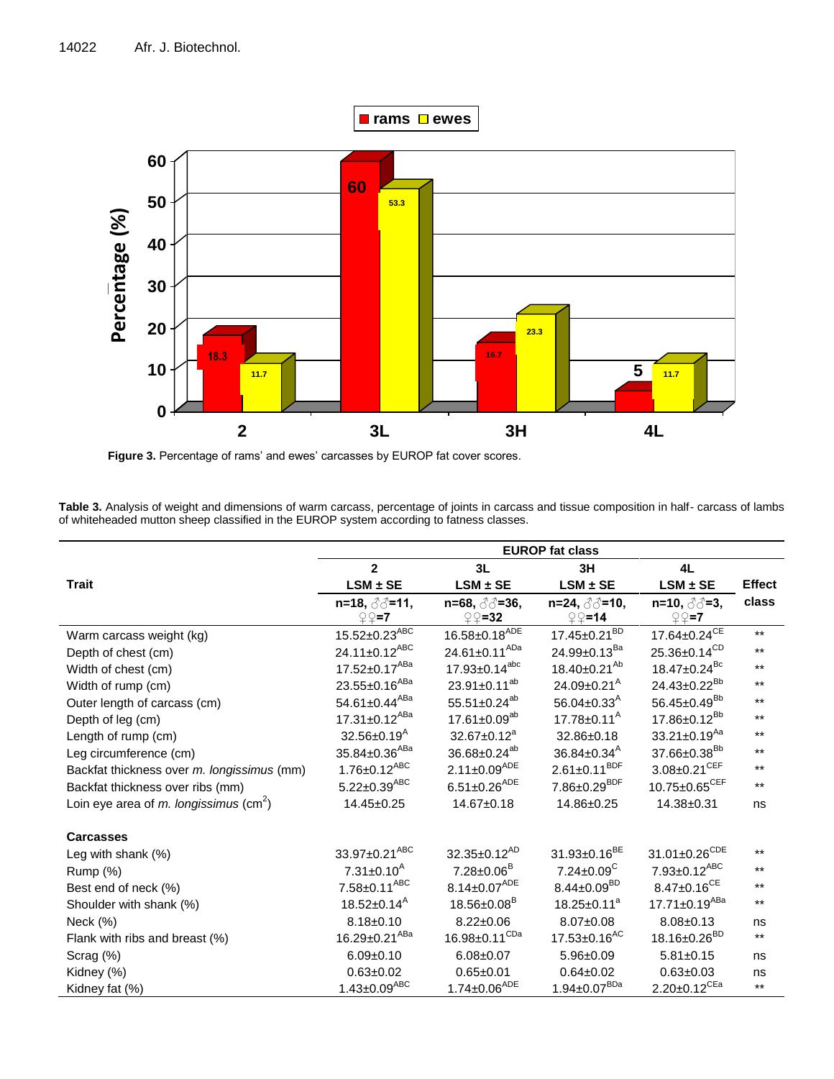

**Figure 3.** Percentage of rams' and ewes' carcasses by EUROP fat cover scores.

**Table 3.** Analysis of weight and dimensions of warm carcass, percentage of joints in carcass and tissue composition in half- carcass of lambs of whiteheaded mutton sheep classified in the EUROP system according to fatness classes.

|                                                    | <b>EUROP</b> fat class          |                               |                                |                                 |               |  |
|----------------------------------------------------|---------------------------------|-------------------------------|--------------------------------|---------------------------------|---------------|--|
|                                                    | $\mathbf{2}$<br>3L<br>3H        |                               |                                | 4L                              |               |  |
| <b>Trait</b>                                       | $LSM \pm SE$                    | $LSM \pm SE$                  | $LSM \pm SE$                   | $LSM \pm SE$                    | <b>Effect</b> |  |
|                                                    |                                 |                               |                                |                                 | class         |  |
|                                                    | $\mathcal{Q} \mathcal{Q} = 7$   | $\mathcal{Q} = 32$            | $\mathcal{Q} \mathcal{Q} = 14$ | $\mathcal{Q} \mathcal{Q} = 7$   |               |  |
| Warm carcass weight (kg)                           | $15.52 \pm 0.23$ <sup>ABC</sup> | $16.58 \pm 0.18^{ADE}$        | $17.45 \pm 0.21^{BD}$          | $17.64 \pm 0.24^{CE}$           | $***$         |  |
| Depth of chest (cm)                                | $24.11 \pm 0.12^{ABC}$          | 24.61±0.11 <sup>ADa</sup>     | 24.99±0.13 <sup>Ba</sup>       | $25.36 \pm 0.14^{\text{CD}}$    | $***$         |  |
| Width of chest (cm)                                | $17.52 \pm 0.17$ <sup>ABa</sup> | $17.93 \pm 0.14^{abc}$        | $18.40 \pm 0.21^{Ab}$          | $18.47 \pm 0.24$ <sup>Bc</sup>  | $***$         |  |
| Width of rump (cm)                                 | 23.55±0.16 <sup>ABa</sup>       | $23.91 \pm 0.11^{ab}$         | $24.09 \pm 0.21^{\text{A}}$    | 24.43±0.22 <sup>Bb</sup>        | $***$         |  |
| Outer length of carcass (cm)                       | 54.61±0.44 <sup>ABa</sup>       | 55.51±0.24 <sup>ab</sup>      | 56.04 $\pm$ 0.33 <sup>A</sup>  | $56.45 \pm 0.49^{Bb}$           | $***$         |  |
| Depth of leg (cm)                                  | $17.31 \pm 0.12$ <sup>ABa</sup> | $17.61 \pm 0.09^{ab}$         | $17.78 \pm 0.11^{\text{A}}$    | $17.86 \pm 0.12^{Bb}$           | $***$         |  |
| Length of rump (cm)                                | $32.56 \pm 0.19$ <sup>A</sup>   | $32.67 \pm 0.12^a$            | 32.86±0.18                     | $33.21 \pm 0.19$ <sup>Aa</sup>  | $***$         |  |
| Leg circumference (cm)                             | 35.84±0.36 <sup>ABa</sup>       | 36.68±0.24 <sup>ab</sup>      | $36.84 \pm 0.34^{\text{A}}$    | 37.66±0.38 <sup>Bb</sup>        | $***$         |  |
| Backfat thickness over m. longissimus (mm)         | $1.76 \pm 0.12$ <sup>ABC</sup>  | $2.11 \pm 0.09^{ADE}$         | $2.61 \pm 0.11^{BDF}$          | $3.08 \pm 0.21^{\text{CEF}}$    | $***$         |  |
| Backfat thickness over ribs (mm)                   | $5.22 \pm 0.39^{ABC}$           | $6.51 \pm 0.26^{ADE}$         | $7.86 \pm 0.29^{BDF}$          | 10.75±0.65 <sup>CEF</sup>       | $***$         |  |
| Loin eye area of m. longissimus (cm <sup>2</sup> ) | 14.45±0.25                      | 14.67±0.18                    | 14.86±0.25                     | 14.38±0.31                      | ns            |  |
| <b>Carcasses</b>                                   |                                 |                               |                                |                                 |               |  |
| Leg with shank $(\%)$                              | 33.97±0.21 <sup>ABC</sup>       | $32.35 \pm 0.12^{AD}$         | $31.93 \pm 0.16^{BE}$          | $31.01 \pm 0.26^{CDE}$          | $***$         |  |
| Rump (%)                                           | $7.31 \pm 0.10^{\text{A}}$      | $7.28 \pm 0.06^B$             | $7.24 \pm 0.09^C$              | $7.93 \pm 0.12^{ABC}$           | $***$         |  |
| Best end of neck (%)                               | $7.58 \pm 0.11^{ABC}$           | $8.14 \pm 0.07^{ADE}$         | $8.44 \pm 0.09^{BD}$           | $8.47 \pm 0.16^{CE}$            | $***$         |  |
| Shoulder with shank (%)                            | $18.52 \pm 0.14^{\text{A}}$     | $18.56 \pm 0.08$ <sup>B</sup> | $18.25 \pm 0.11^a$             | $17.71 \pm 0.19$ <sup>ABa</sup> | $***$         |  |
| Neck (%)                                           | $8.18 \pm 0.10$                 | $8.22 \pm 0.06$               | $8.07 \pm 0.08$                | $8.08 \pm 0.13$                 | ns            |  |
| Flank with ribs and breast (%)                     | $16.29 \pm 0.21^{ABa}$          | $16.98 \pm 0.11^{CDa}$        | $17.53 \pm 0.16$ <sup>AC</sup> | 18.16±0.26 <sup>BD</sup>        | $***$         |  |
| Scrag (%)                                          | $6.09 + 0.10$                   | $6.08 + 0.07$                 | $5.96 \pm 0.09$                | $5.81 \pm 0.15$                 | ns            |  |
| Kidney (%)                                         | $0.63 + 0.02$                   | $0.65 + 0.01$                 | $0.64 \pm 0.02$                | $0.63 + 0.03$                   | ns            |  |
| Kidney fat (%)                                     | $1.43 \pm 0.09^{ABC}$           | $1.74 \pm 0.06^{ADE}$         | $1.94 \pm 0.07^{BDa}$          | $2.20 \pm 0.12^{CEa}$           | $***$         |  |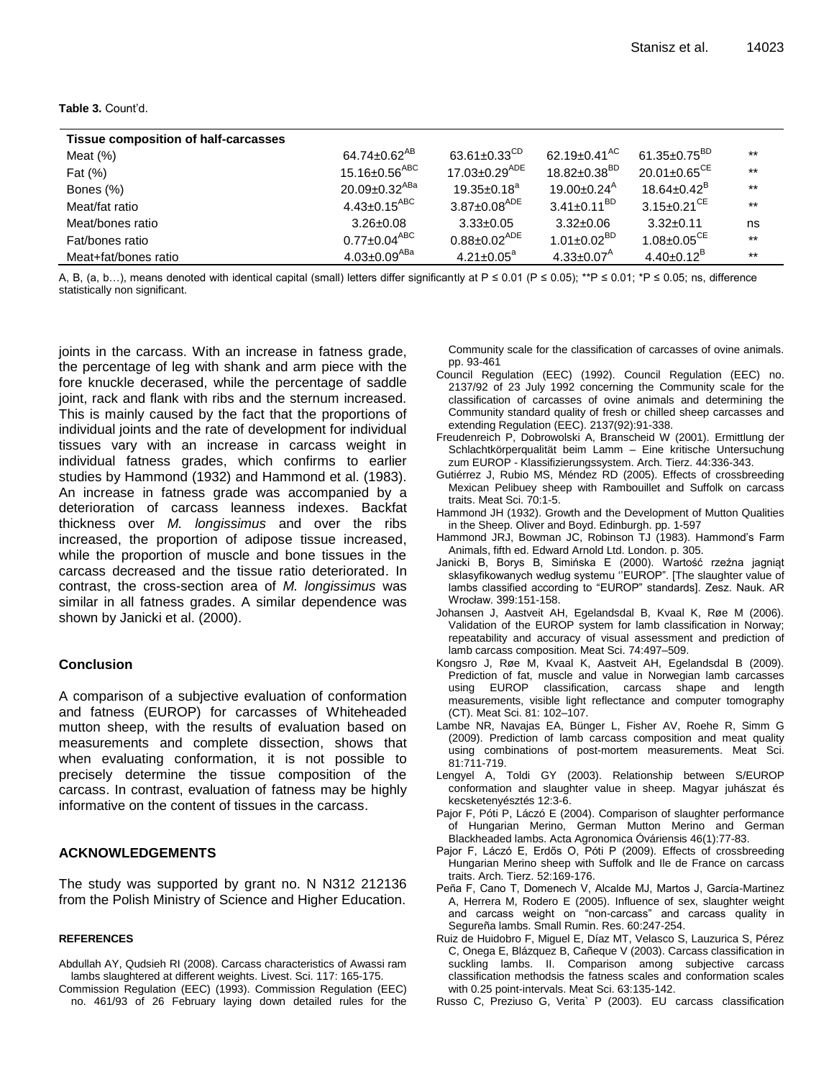#### **Table 3.** Count'd.

| <b>Tissue composition of half-carcasses</b> |                                  |                                |                              |                                |       |
|---------------------------------------------|----------------------------------|--------------------------------|------------------------------|--------------------------------|-------|
| Meat $(\%)$                                 | 64.74±0.62 <sup>AB</sup>         | 63.61 $\pm$ 0.33 <sup>CD</sup> | 62.19±0.41 <sup>AC</sup>     | 61.35 $\pm$ 0.75 <sup>BD</sup> | $***$ |
| Fat (%)                                     | 15.16 $\pm$ 0.56 $^{\text{ABC}}$ | 17.03±0.29 <sup>ADE</sup>      | $18.82 \pm 0.38^{BD}$        | $20.01 \pm 0.65^{\text{CE}}$   | $***$ |
| Bones (%)                                   | 20.09±0.32 <sup>ABa</sup>        | $19.35 \pm 0.18^a$             | 19.00±0.24 <sup>A</sup>      | $18.64\pm0.42^{\text{B}}$      | $***$ |
| Meat/fat ratio                              | 4.43 $\pm$ 0.15 $^{\text{ABC}}$  | $3.87 \pm 0.08^{ADE}$          | $3.41 \pm 0.11^{BD}$         | $3.15 \pm 0.21$ <sup>CE</sup>  | $***$ |
| Meat/bones ratio                            | $3.26 \pm 0.08$                  | $3.33 \pm 0.05$                | $3.32 \pm 0.06$              | $3.32 \pm 0.11$                | ns    |
| Fat/bones ratio                             | $0.77 \pm 0.04$ <sup>ABC</sup>   | $0.88 \pm 0.02^{ADE}$          | $1.01 \pm 0.02^{BD}$         | $1.08 \pm 0.05^{\text{CE}}$    | $***$ |
| Meat+fat/bones ratio                        | $4.03 \pm 0.09^{ABa}$            | $4.21 \pm 0.05^a$              | $4.33 \pm 0.07$ <sup>A</sup> | $4.40\pm0.12^B$                | $***$ |

A, B, (a, b...), means denoted with identical capital (small) letters differ significantly at P ≤ 0.01 (P ≤ 0.05); \*\*P ≤ 0.01; \*P ≤ 0.05; ns, difference statistically non significant.

joints in the carcass. With an increase in fatness grade, the percentage of leg with shank and arm piece with the fore knuckle decerased, while the percentage of saddle joint, rack and flank with ribs and the sternum increased. This is mainly caused by the fact that the proportions of individual joints and the rate of development for individual tissues vary with an increase in carcass weight in individual fatness grades, which confirms to earlier studies by Hammond (1932) and Hammond et al. (1983). An increase in fatness grade was accompanied by a deterioration of carcass leanness indexes. Backfat thickness over *M. longissimus* and over the ribs increased, the proportion of adipose tissue increased, while the proportion of muscle and bone tissues in the carcass decreased and the tissue ratio deteriorated. In contrast, the cross-section area of *M. longissimus* was similar in all fatness grades. A similar dependence was shown by Janicki et al. (2000).

### **Conclusion**

A comparison of a subjective evaluation of conformation and fatness (EUROP) for carcasses of Whiteheaded mutton sheep, with the results of evaluation based on measurements and complete dissection, shows that when evaluating conformation, it is not possible to precisely determine the tissue composition of the carcass. In contrast, evaluation of fatness may be highly informative on the content of tissues in the carcass.

## **ACKNOWLEDGEMENTS**

The study was supported by grant no. N N312 212136 from the Polish Ministry of Science and Higher Education.

#### **REFERENCES**

- Abdullah AY, Qudsieh RI (2008). Carcass characteristics of Awassi ram lambs slaughtered at different weights. Livest. Sci. 117: 165-175.
- Commission Regulation (EEC) (1993). Commission Regulation (EEC) no. 461/93 of 26 February laying down detailed rules for the

Community scale for the classification of carcasses of ovine animals. pp. 93-461

- Council Regulation (EEC) (1992). Council Regulation (EEC) no. 2137/92 of 23 July 1992 concerning the Community scale for the classification of carcasses of ovine animals and determining the Community standard quality of fresh or chilled sheep carcasses and extending Regulation (EEC). 2137(92):91-338.
- Freudenreich P, Dobrowolski A, Branscheid W (2001). Ermittlung der Schlachtkörperqualität beim Lamm – Eine kritische Untersuchung zum EUROP - Klassifizierungssystem. Arch. Tierz. 44:336-343.
- Gutiérrez J, Rubio MS, Méndez RD (2005). Effects of crossbreeding Mexican Pelibuey sheep with Rambouillet and Suffolk on carcass traits. Meat Sci. 70:1-5.
- Hammond JH (1932). Growth and the Development of Mutton Qualities in the Sheep. Oliver and Boyd. Edinburgh. pp. 1-597
- Hammond JRJ, Bowman JC, Robinson TJ (1983). Hammond's Farm Animals, fifth ed. Edward Arnold Ltd. London. p. 305.
- Janicki B, Borys B, Simińska E (2000). Wartość rzeźna jagniąt sklasyfikowanych według systemu "EUROP". [The slaughter value of lambs classified according to "EUROP" standards]. Zesz. Nauk. AR Wrocław. 399:151-158.
- Johansen J, Aastveit AH, Egelandsdal B, Kvaal K, Røe M (2006). Validation of the EUROP system for lamb classification in Norway; repeatability and accuracy of visual assessment and prediction of lamb carcass composition. Meat Sci. 74:497–509.
- Kongsro J, Røe M, Kvaal K, Aastveit AH, Egelandsdal B (2009). Prediction of fat, muscle and value in Norwegian lamb carcasses using EUROP classification, carcass shape and length measurements, visible light reflectance and computer tomography (CT). Meat Sci. 81: 102–107.
- Lambe NR, Navajas EA, Bünger L, Fisher AV, Roehe R, Simm G (2009). Prediction of lamb carcass composition and meat quality using combinations of post-mortem measurements. Meat Sci. 81:711-719.
- Lengyel A, Toldi GY (2003). Relationship between S/EUROP conformation and slaughter value in sheep. Magyar juhászat és kecsketenyésztés 12:3-6.
- Pajor F, Póti P, Láczó E (2004). Comparison of slaughter performance of Hungarian Merino, German Mutton Merino and German Blackheaded lambs. Acta Agronomica Óváriensis 46(1):77-83.
- Pajor F, Láczó E, Erdős O, Póti P (2009). Effects of crossbreeding Hungarian Merino sheep with Suffolk and Ile de France on carcass traits. Arch. Tierz. 52:169-176.
- Peña F, Cano T, Domenech V, Alcalde MJ, Martos J, Garcίa-Martinez A, Herrera M, Rodero E (2005). Influence of sex, slaughter weight and carcass weight on "non-carcass" and carcass quality in Segureña lambs. Small Rumin. Res. 60:247-254.
- Ruiz de Huidobro F, Miguel E, Díaz MT, Velasco S, Lauzurica S, Pérez C, Onega E, Blázquez B, Cañeque V (2003). Carcass classification in suckling lambs. II. Comparison among subjective carcass classification methodsis the fatness scales and conformation scales with 0.25 point-intervals. Meat Sci. 63:135-142.
- Russo C, Preziuso G, Verita` P (2003). EU carcass classification